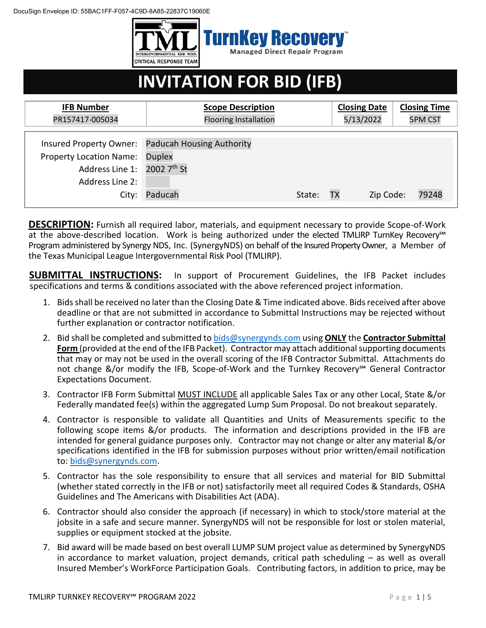DocuSign Envelope ID: 55BAC1FF-F057-4C9D-8A85-22837C19060E



# **INVITATION FOR BID (IFB)**

| <b>IFB Number</b>                                                                         | <b>Scope Description</b>                                                      |        | <b>Closing Date</b> | <b>Closing Time</b> |
|-------------------------------------------------------------------------------------------|-------------------------------------------------------------------------------|--------|---------------------|---------------------|
| PR157417-005034                                                                           | <b>Flooring Installation</b>                                                  |        | 5/13/2022           | <b>5PM CST</b>      |
| <b>Property Location Name:</b><br>Address Line 1: 2002 7th St<br>Address Line 2:<br>City: | Insured Property Owner: Paducah Housing Authority<br><b>Duplex</b><br>Paducah | State: | Zip Code:<br>TХ     | 79248               |

**DESCRIPTION:** Furnish all required labor, materials, and equipment necessary to provide Scope-of-Work at the above-described location. Work is being authorized under the elected TMLIRP TurnKey Recovery<sup>™</sup> Program administered by Synergy NDS, Inc. (SynergyNDS) on behalf of the Insured Property Owner, a Member of the Texas Municipal League Intergovernmental Risk Pool (TMLIRP).

**SUBMITTAL INSTRUCTIONS:** In support of Procurement Guidelines, the IFB Packet includes specifications and terms & conditions associated with the above referenced project information.

- 1. Bids shall be received no later than the Closing Date & Time indicated above. Bids received after above deadline or that are not submitted in accordance to Submittal Instructions may be rejected without further explanation or contractor notification.
- 2. Bid shall be completed and submitted to [bids@synergynds.com](mailto:bids@synergynds.com) using **ONLY** the **Contractor Submittal Form** (provided at the end of the IFB Packet). Contractor may attach additional supporting documents that may or may not be used in the overall scoring of the IFB Contractor Submittal. Attachments do not change &/or modify the IFB, Scope-of-Work and the Turnkey Recovery<sup>™</sup> General Contractor Expectations Document.
- 3. Contractor IFB Form Submittal MUST INCLUDE all applicable Sales Tax or any other Local, State &/or Federally mandated fee(s) within the aggregated Lump Sum Proposal. Do not breakout separately.
- 4. Contractor is responsible to validate all Quantities and Units of Measurements specific to the following scope items &/or products. The information and descriptions provided in the IFB are intended for general guidance purposes only. Contractor may not change or alter any material &/or specifications identified in the IFB for submission purposes without prior written/email notification to: [bids@synergynds.com.](mailto:bids@synergynds.com)
- 5. Contractor has the sole responsibility to ensure that all services and material for BID Submittal (whether stated correctly in the IFB or not) satisfactorily meet all required Codes & Standards, OSHA Guidelines and The Americans with Disabilities Act (ADA).
- 6. Contractor should also consider the approach (if necessary) in which to stock/store material at the jobsite in a safe and secure manner. SynergyNDS will not be responsible for lost or stolen material, supplies or equipment stocked at the jobsite.
- 7. Bid award will be made based on best overall LUMP SUM project value as determined by SynergyNDS in accordance to market valuation, project demands, critical path scheduling – as well as overall Insured Member's WorkForce Participation Goals. Contributing factors, in addition to price, may be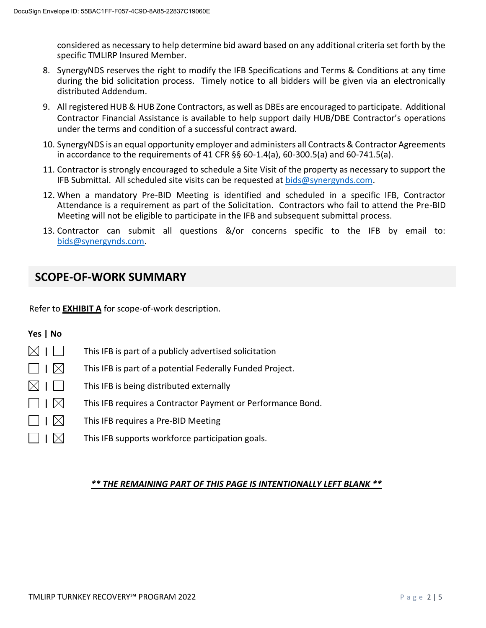considered as necessary to help determine bid award based on any additional criteria set forth by the specific TMLIRP Insured Member.

- 8. SynergyNDS reserves the right to modify the IFB Specifications and Terms & Conditions at any time during the bid solicitation process. Timely notice to all bidders will be given via an electronically distributed Addendum.
- 9. All registered HUB & HUB Zone Contractors, as well as DBEs are encouraged to participate. Additional Contractor Financial Assistance is available to help support daily HUB/DBE Contractor's operations under the terms and condition of a successful contract award.
- 10. SynergyNDS is an equal opportunity employer and administers all Contracts & Contractor Agreements in accordance to the requirements of 41 CFR §§ 60-1.4(a), 60-300.5(a) and 60-741.5(a).
- 11. Contractor is strongly encouraged to schedule a Site Visit of the property as necessary to support the IFB Submittal. All scheduled site visits can be requested at [bids@synergynds.com.](mailto:bids@synergynds.com)
- 12. When a mandatory Pre-BID Meeting is identified and scheduled in a specific IFB, Contractor Attendance is a requirement as part of the Solicitation. Contractors who fail to attend the Pre-BID Meeting will not be eligible to participate in the IFB and subsequent submittal process.
- 13. Contractor can submit all questions &/or concerns specific to the IFB by email to: [bids@synergynds.com.](mailto:bids@synergynds.com)

# **SCOPE-OF-WORK SUMMARY**

Refer to **EXHIBIT A** for scope-of-work description.

### **Yes | No**

- $\boxtimes$  |  $\Box$  This IFB is part of a publicly advertised solicitation  $\Box$  **|**  $\boxtimes$  This IFB is part of a potential Federally Funded Project.  $\boxtimes$  |  $\Box$  This IFB is being distributed externally  $\Box$  **|**  $\boxtimes$  This IFB requires a Contractor Payment or Performance Bond. **|** This IFB requires a Pre-BID Meeting
- $\vert \phantom{a} \vert$  This IFB supports workforce participation goals.

#### *\*\* THE REMAINING PART OF THIS PAGE IS INTENTIONALLY LEFT BLANK \*\**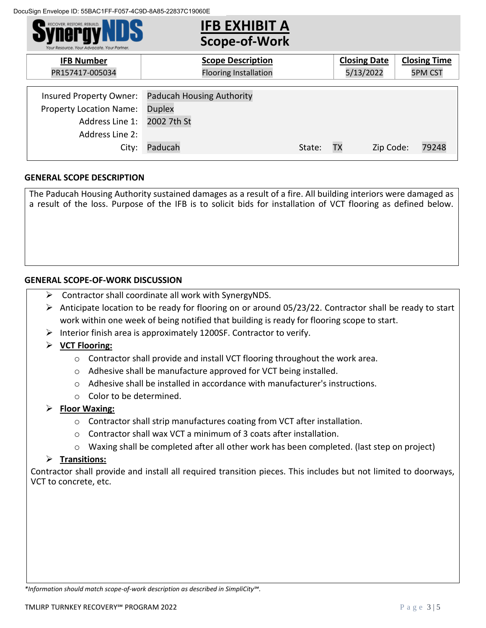

#### **GENERAL SCOPE DESCRIPTION**

The Paducah Housing Authority sustained damages as a result of a fire. All building interiors were damaged as a result of the loss. Purpose of the IFB is to solicit bids for installation of VCT flooring as defined below.

#### **GENERAL SCOPE-OF-WORK DISCUSSION**

- Contractor shall coordinate all work with SynergyNDS.
- $\triangleright$  Anticipate location to be ready for flooring on or around 05/23/22. Contractor shall be ready to start work within one week of being notified that building is ready for flooring scope to start.
- $\triangleright$  Interior finish area is approximately 1200SF. Contractor to verify.
- **VCT Flooring:**
	- $\circ$  Contractor shall provide and install VCT flooring throughout the work area.
	- o Adhesive shall be manufacture approved for VCT being installed.
	- o Adhesive shall be installed in accordance with manufacturer's instructions.
	- o Color to be determined.

#### **Floor Waxing:**

- $\circ$  Contractor shall strip manufactures coating from VCT after installation.
- o Contractor shall wax VCT a minimum of 3 coats after installation.
- $\circ$  Waxing shall be completed after all other work has been completed. (last step on project)

#### **Transitions:**

Contractor shall provide and install all required transition pieces. This includes but not limited to doorways, VCT to concrete, etc.

*<sup>\*</sup>Information should match scope-of-work description as described in SimpliCity℠.*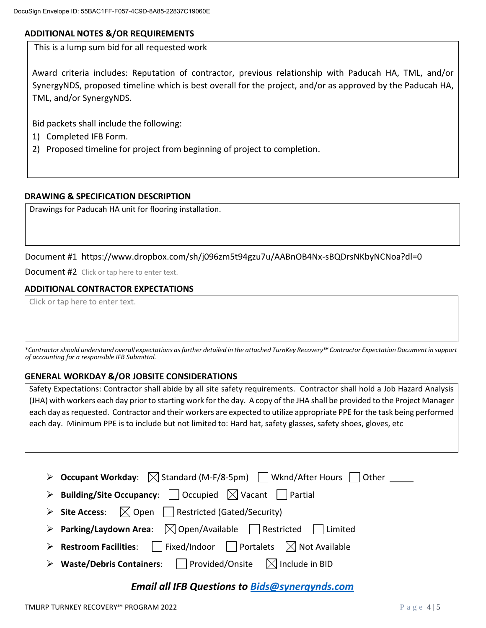#### **ADDITIONAL NOTES &/OR REQUIREMENTS**

This is a lump sum bid for all requested work

Award criteria includes: Reputation of contractor, previous relationship with Paducah HA, TML, and/or SynergyNDS, proposed timeline which is best overall for the project, and/or as approved by the Paducah HA, TML, and/or SynergyNDS.

Bid packets shall include the following:

- 1) Completed IFB Form.
- 2) Proposed timeline for project from beginning of project to completion.

#### **DRAWING & SPECIFICATION DESCRIPTION**

Drawings for Paducah HA unit for flooring installation.

#### Document #1 https://www.dropbox.com/sh/j096zm5t94gzu7u/AABnOB4Nx-sBQDrsNKbyNCNoa?dl=0

Document #2 Click or tap here to enter text.

#### **ADDITIONAL CONTRACTOR EXPECTATIONS**

Click or tap here to enter text.

*\*Contractor should understand overall expectations as further detailed in the attached TurnKey Recovery℠ Contractor Expectation Document in support of accounting for a responsible IFB Submittal.*

#### **GENERAL WORKDAY &/OR JOBSITE CONSIDERATIONS**

Safety Expectations: Contractor shall abide by all site safety requirements. Contractor shall hold a Job Hazard Analysis (JHA) with workers each day prior to starting work for the day. A copy of the JHA shall be provided to the Project Manager each day as requested. Contractor and their workers are expected to utilize appropriate PPE for the task being performed each day. Minimum PPE is to include but not limited to: Hard hat, safety glasses, safety shoes, gloves, etc

| > Occupant Workday: $\boxtimes$ Standard (M-F/8-5pm) Wknd/After Hours   Other ____                       |
|----------------------------------------------------------------------------------------------------------|
| $\triangleright$ Building/Site Occupancy: $\vert$   Occupied $\lfloor \times \rfloor$ Vacant     Partial |
| $\triangleright$ Site Access: $\bigcirc$ Open     Restricted (Gated/Security)                            |
| > Parking/Laydown Area: $\boxtimes$ Open/Available Restricted Il Limited                                 |
| > <b>Restroom Facilities</b> : Fixed/Indoor Portalets $\boxtimes$ Not Available                          |
| $\triangleright$ Waste/Debris Containers:     Provided/Onsite $\triangleright$ Include in BID            |

## *Email all IFB Questions to [Bids@synergynds.com](mailto:Bids@synergynds.com)*